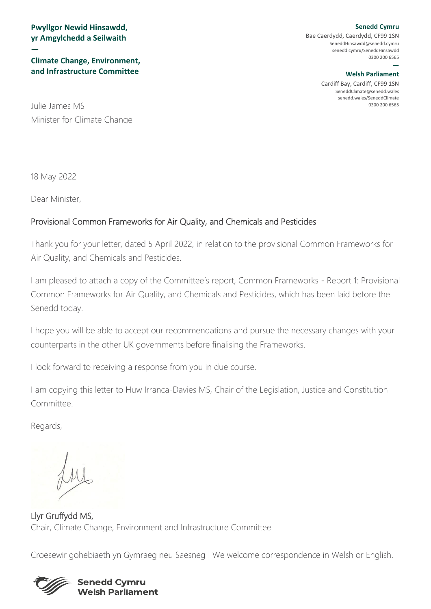**Pwyllgor Newid Hinsawdd, yr Amgylchedd a Seilwaith**

#### **Climate Change, Environment, and Infrastructure Committee**

0300 200 6565 Julie James MS Minister for Climate Change

18 May 2022

**—**

Dear Minister,

#### Provisional Common Frameworks for Air Quality, and Chemicals and Pesticides

Thank you for your letter, dated 5 April 2022, in relation to the provisional Common Frameworks for Air Quality, and Chemicals and Pesticides.

I am pleased to attach a copy of the Committee's report, Common Frameworks - Report 1: Provisional Common Frameworks for Air Quality, and Chemicals and Pesticides, which has been laid before the Senedd today.

I hope you will be able to accept our recommendations and pursue the necessary changes with your counterparts in the other UK governments before finalising the Frameworks.

I look forward to receiving a response from you in due course.

I am copying this letter to Huw Irranca-Davies MS, Chair of the Legislation, Justice and Constitution Committee.

Regards,

Llyr Gruffydd MS, Chair, Climate Change, Environment and Infrastructure Committee

Croesewir gohebiaeth yn Gymraeg neu Saesneg | We welcome correspondence in Welsh or English.



#### **Senedd Cymru Welsh Parliament**

**Senedd Cymru** Bae Caerdydd, Caerdydd, CF99 1SN [SeneddHinsawdd@senedd.cymru](mailto:SeneddHinsawdd@senedd.cymru) senedd.cymru/SeneddHinsawdd 0300 200 6565

#### **— Welsh Parliament**

Cardiff Bay, Cardiff, CF99 1SN [SeneddClimate@senedd.wales](mailto:SeneddClimate@senedd.wales) senedd.wales/SeneddClimate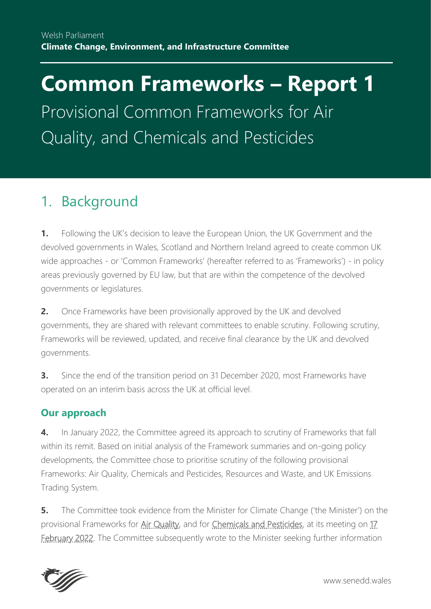# **Common Frameworks – Report 1**

Provisional Common Frameworks for Air Quality, and Chemicals and Pesticides

# 1. Background

**1.** Following the UK's decision to leave the European Union, the UK Government and the devolved governments in Wales, Scotland and Northern Ireland agreed to create common UK wide approaches - or 'Common Frameworks' (hereafter referred to as 'Frameworks') - in policy areas previously governed by EU law, but that are within the competence of the devolved governments or legislatures.

**2.** Once Frameworks have been provisionally approved by the UK and devolved governments, they are shared with relevant committees to enable scrutiny. Following scrutiny, Frameworks will be reviewed, updated, and receive final clearance by the UK and devolved governments.

**3.** Since the end of the transition period on 31 December 2020, most Frameworks have operated on an interim basis across the UK at official level.

#### **Our approach**

**4.** In January 2022, the Committee agreed its approach to scrutiny of Frameworks that fall within its remit. Based on initial analysis of the Framework summaries and on-going policy developments, the Committee chose to prioritise scrutiny of the following provisional Frameworks: Air Quality, Chemicals and Pesticides, Resources and Waste, and UK Emissions Trading System.

**5.** The Committee took evidence from the Minister for Climate Change ('the Minister') on the provisional Frameworks for [Air Quality,](https://www.gov.uk/government/publications/air-quality-provisional-common-framework) and for [Chemicals and Pesticides,](https://www.gov.uk/government/publications/chemicals-and-pesticides-provisional-framework) at its meeting on 17 [February 2022.](https://record.senedd.wales/Committee/12748) The Committee subsequently wrote to the Minister seeking further information

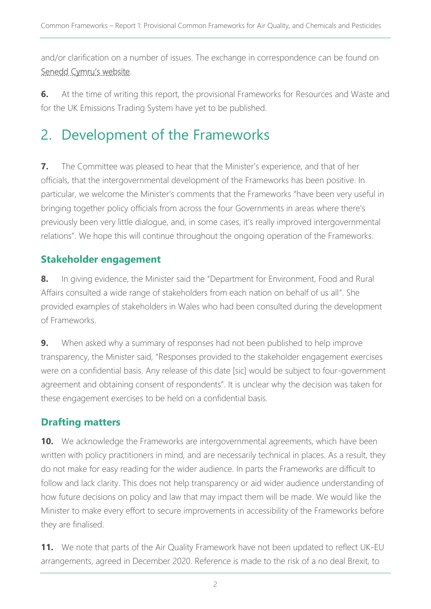and/or clarification on a number of issues. The exchange in correspondence can be found on [Senedd Cymru's website](https://senedd.wales/committee/741).

**6.** At the time of writing this report, the provisional Frameworks for Resources and Waste and for the UK Emissions Trading System have yet to be published.

## 2. Development of the Frameworks

**7.** The Committee was pleased to hear that the Minister's experience, and that of her officials, that the intergovernmental development of the Frameworks has been positive. In particular, we welcome the Minister's comments that the Frameworks "have been very useful in bringing together policy officials from across the four Governments in areas where there's previously been very little dialogue, and, in some cases, it's really improved intergovernmental relations". We hope this will continue throughout the ongoing operation of the Frameworks.

### **Stakeholder engagement**

**8.** In giving evidence, the Minister said the "Department for Environment, Food and Rural Affairs consulted a wide range of stakeholders from each nation on behalf of us all". She provided examples of stakeholders in Wales who had been consulted during the development of Frameworks.

**9.** When asked why a summary of responses had not been published to help improve transparency, the Minister said, "Responses provided to the stakeholder engagement exercises were on a confidential basis. Any release of this date [sic] would be subject to four-government agreement and obtaining consent of respondents". It is unclear why the decision was taken for these engagement exercises to be held on a confidential basis.

## **Drafting matters**

**10.** We acknowledge the Frameworks are intergovernmental agreements, which have been written with policy practitioners in mind, and are necessarily technical in places. As a result, they do not make for easy reading for the wider audience. In parts the Frameworks are difficult to follow and lack clarity. This does not help transparency or aid wider audience understanding of how future decisions on policy and law that may impact them will be made. We would like the Minister to make every effort to secure improvements in accessibility of the Frameworks before they are finalised.

**11.** We note that parts of the Air Quality Framework have not been updated to reflect UK-EU arrangements, agreed in December 2020. Reference is made to the risk of a no deal Brexit, to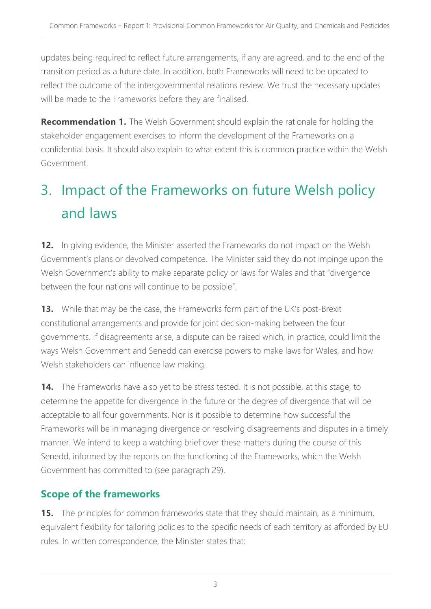updates being required to reflect future arrangements, if any are agreed, and to the end of the transition period as a future date. In addition, both Frameworks will need to be updated to reflect the outcome of the intergovernmental relations review. We trust the necessary updates will be made to the Frameworks before they are finalised.

**Recommendation 1.** The Welsh Government should explain the rationale for holding the stakeholder engagement exercises to inform the development of the Frameworks on a confidential basis. It should also explain to what extent this is common practice within the Welsh Government.

# 3. Impact of the Frameworks on future Welsh policy and laws

**12.** In giving evidence, the Minister asserted the Frameworks do not impact on the Welsh Government's plans or devolved competence. The Minister said they do not impinge upon the Welsh Government's ability to make separate policy or laws for Wales and that "divergence between the four nations will continue to be possible".

**13.** While that may be the case, the Frameworks form part of the UK's post-Brexit constitutional arrangements and provide for joint decision-making between the four governments. If disagreements arise, a dispute can be raised which, in practice, could limit the ways Welsh Government and Senedd can exercise powers to make laws for Wales, and how Welsh stakeholders can influence law making.

**14.** The Frameworks have also yet to be stress tested. It is not possible, at this stage, to determine the appetite for divergence in the future or the degree of divergence that will be acceptable to all four governments. Nor is it possible to determine how successful the Frameworks will be in managing divergence or resolving disagreements and disputes in a timely manner. We intend to keep a watching brief over these matters during the course of this Senedd, informed by the reports on the functioning of the Frameworks, which the Welsh Government has committed to (see paragraph 29).

#### **Scope of the frameworks**

**15.** The principles for common frameworks state that they should maintain, as a minimum, equivalent flexibility for tailoring policies to the specific needs of each territory as afforded by EU rules. In written correspondence, the Minister states that: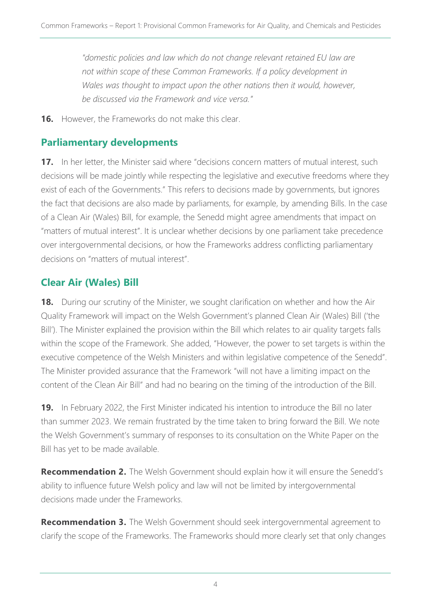*"domestic policies and law which do not change relevant retained EU law are not within scope of these Common Frameworks. If a policy development in Wales was thought to impact upon the other nations then it would, however, be discussed via the Framework and vice versa."*

**16.** However, the Frameworks do not make this clear.

### **Parliamentary developments**

**17.** In her letter, the Minister said where "decisions concern matters of mutual interest, such decisions will be made jointly while respecting the legislative and executive freedoms where they exist of each of the Governments." This refers to decisions made by governments, but ignores the fact that decisions are also made by parliaments, for example, by amending Bills. In the case of a Clean Air (Wales) Bill, for example, the Senedd might agree amendments that impact on "matters of mutual interest". It is unclear whether decisions by one parliament take precedence over intergovernmental decisions, or how the Frameworks address conflicting parliamentary decisions on "matters of mutual interest".

## **Clear Air (Wales) Bill**

**18.** During our scrutiny of the Minister, we sought clarification on whether and how the Air Quality Framework will impact on the Welsh Government's planned Clean Air (Wales) Bill ('the Bill'). The Minister explained the provision within the Bill which relates to air quality targets falls within the scope of the Framework. She added, "However, the power to set targets is within the executive competence of the Welsh Ministers and within legislative competence of the Senedd". The Minister provided assurance that the Framework "will not have a limiting impact on the content of the Clean Air Bill" and had no bearing on the timing of the introduction of the Bill.

**19.** In February 2022, the First Minister indicated his intention to introduce the Bill no later than summer 2023. We remain frustrated by the time taken to bring forward the Bill. We note the Welsh Government's summary of responses to its consultation on the White Paper on the Bill has yet to be made available.

**Recommendation 2.** The Welsh Government should explain how it will ensure the Senedd's ability to influence future Welsh policy and law will not be limited by intergovernmental decisions made under the Frameworks.

**Recommendation 3.** The Welsh Government should seek intergovernmental agreement to clarify the scope of the Frameworks. The Frameworks should more clearly set that only changes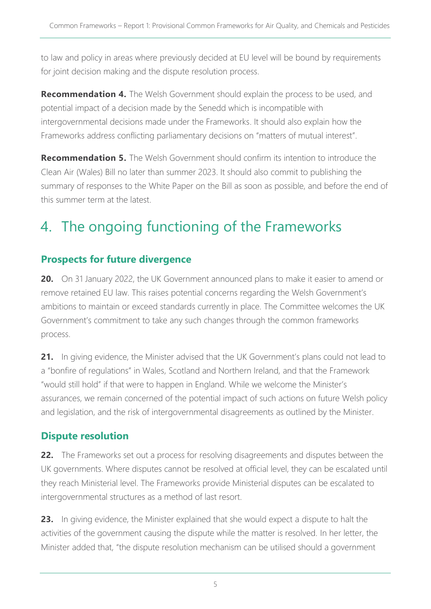to law and policy in areas where previously decided at EU level will be bound by requirements for joint decision making and the dispute resolution process.

**Recommendation 4.** The Welsh Government should explain the process to be used, and potential impact of a decision made by the Senedd which is incompatible with intergovernmental decisions made under the Frameworks. It should also explain how the Frameworks address conflicting parliamentary decisions on "matters of mutual interest".

**Recommendation 5.** The Welsh Government should confirm its intention to introduce the Clean Air (Wales) Bill no later than summer 2023. It should also commit to publishing the summary of responses to the White Paper on the Bill as soon as possible, and before the end of this summer term at the latest.

## 4. The ongoing functioning of the Frameworks

#### **Prospects for future divergence**

**20.** On 31 January 2022, the UK Government announced plans to make it easier to amend or remove retained EU law. This raises potential concerns regarding the Welsh Government's ambitions to maintain or exceed standards currently in place. The Committee welcomes the UK Government's commitment to take any such changes through the common frameworks process.

**21.** In giving evidence, the Minister advised that the UK Government's plans could not lead to a "bonfire of regulations" in Wales, Scotland and Northern Ireland, and that the Framework "would still hold" if that were to happen in England. While we welcome the Minister's assurances, we remain concerned of the potential impact of such actions on future Welsh policy and legislation, and the risk of intergovernmental disagreements as outlined by the Minister.

#### **Dispute resolution**

**22.** The Frameworks set out a process for resolving disagreements and disputes between the UK governments. Where disputes cannot be resolved at official level, they can be escalated until they reach Ministerial level. The Frameworks provide Ministerial disputes can be escalated to intergovernmental structures as a method of last resort.

**23.** In giving evidence, the Minister explained that she would expect a dispute to halt the activities of the government causing the dispute while the matter is resolved. In her letter, the Minister added that, "the dispute resolution mechanism can be utilised should a government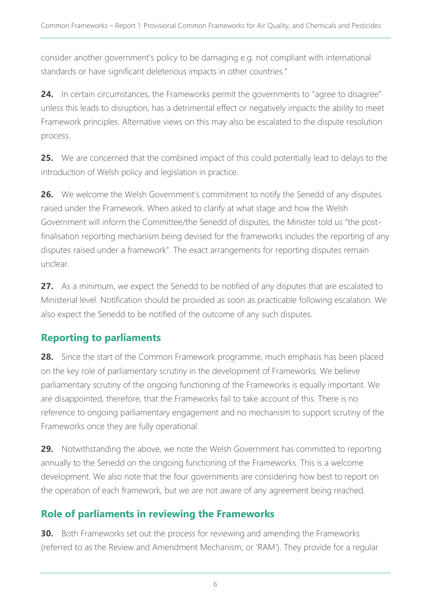consider another government's policy to be damaging e.g. not compliant with international standards or have significant deleterious impacts in other countries."

**24.** In certain circumstances, the Frameworks permit the governments to "agree to disagree" unless this leads to disruption, has a detrimental effect or negatively impacts the ability to meet Framework principles. Alternative views on this may also be escalated to the dispute resolution process.

**25.** We are concerned that the combined impact of this could potentially lead to delays to the introduction of Welsh policy and legislation in practice.

**26.** We welcome the Welsh Government's commitment to notify the Senedd of any disputes raised under the Framework. When asked to clarify at what stage and how the Welsh Government will inform the Committee/the Senedd of disputes, the Minister told us "the postfinalisation reporting mechanism being devised for the frameworks includes the reporting of any disputes raised under a framework". The exact arrangements for reporting disputes remain unclear.

**27.** As a minimum, we expect the Senedd to be notified of any disputes that are escalated to Ministerial level. Notification should be provided as soon as practicable following escalation. We also expect the Senedd to be notified of the outcome of any such disputes.

#### **Reporting to parliaments**

**28.** Since the start of the Common Framework programme, much emphasis has been placed on the key role of parliamentary scrutiny in the development of Frameworks. We believe parliamentary scrutiny of the ongoing functioning of the Frameworks is equally important. We are disappointed, therefore, that the Frameworks fail to take account of this. There is no reference to ongoing parliamentary engagement and no mechanism to support scrutiny of the Frameworks once they are fully operational.

**29.** Notwithstanding the above, we note the Welsh Government has committed to reporting annually to the Senedd on the ongoing functioning of the Frameworks. This is a welcome development. We also note that the four governments are considering how best to report on the operation of each framework, but we are not aware of any agreement being reached.

#### **Role of parliaments in reviewing the Frameworks**

**30.** Both Frameworks set out the process for reviewing and amending the Frameworks (referred to as the Review and Amendment Mechanism, or 'RAM'). They provide for a regular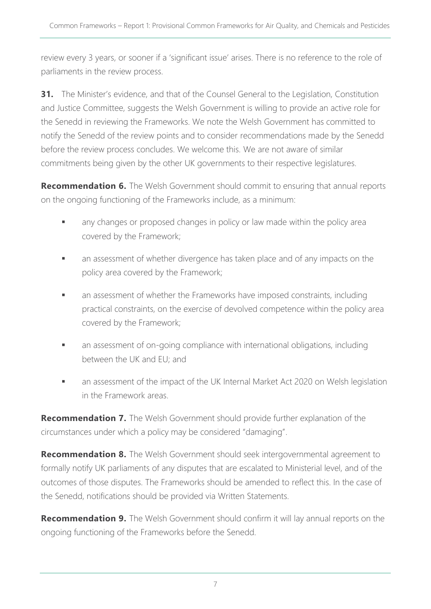review every 3 years, or sooner if a 'significant issue' arises. There is no reference to the role of parliaments in the review process.

**31.** The Minister's evidence, and that of the Counsel General to the Legislation, Constitution and Justice Committee, suggests the Welsh Government is willing to provide an active role for the Senedd in reviewing the Frameworks. We note the Welsh Government has committed to notify the Senedd of the review points and to consider recommendations made by the Senedd before the review process concludes. We welcome this. We are not aware of similar commitments being given by the other UK governments to their respective legislatures.

**Recommendation 6.** The Welsh Government should commit to ensuring that annual reports on the ongoing functioning of the Frameworks include, as a minimum:

- any changes or proposed changes in policy or law made within the policy area covered by the Framework;
- **■** an assessment of whether divergence has taken place and of any impacts on the policy area covered by the Framework;
- an assessment of whether the Frameworks have imposed constraints, including practical constraints, on the exercise of devolved competence within the policy area covered by the Framework;
- an assessment of on-going compliance with international obligations, including between the UK and EU; and
- an assessment of the impact of the UK Internal Market Act 2020 on Welsh legislation in the Framework areas.

**Recommendation 7.** The Welsh Government should provide further explanation of the circumstances under which a policy may be considered "damaging".

**Recommendation 8.** The Welsh Government should seek intergovernmental agreement to formally notify UK parliaments of any disputes that are escalated to Ministerial level, and of the outcomes of those disputes. The Frameworks should be amended to reflect this. In the case of the Senedd, notifications should be provided via Written Statements.

**Recommendation 9.** The Welsh Government should confirm it will lay annual reports on the ongoing functioning of the Frameworks before the Senedd.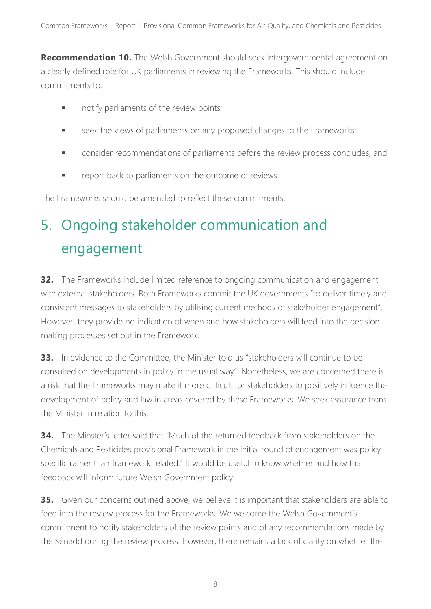**Recommendation 10.** The Welsh Government should seek intergovernmental agreement on a clearly defined role for UK parliaments in reviewing the Frameworks. This should include commitments to:

- **•** notify parliaments of the review points;
- **EXECTE:** seek the views of parliaments on any proposed changes to the Frameworks;
- **•** consider recommendations of parliaments before the review process concludes; and
- report back to parliaments on the outcome of reviews.

The Frameworks should be amended to reflect these commitments.

# 5. Ongoing stakeholder communication and engagement

**32.** The Frameworks include limited reference to ongoing communication and engagement with external stakeholders. Both Frameworks commit the UK governments "to deliver timely and consistent messages to stakeholders by utilising current methods of stakeholder engagement". However, they provide no indication of when and how stakeholders will feed into the decision making processes set out in the Framework.

**33.** In evidence to the Committee, the Minister told us "stakeholders will continue to be consulted on developments in policy in the usual way". Nonetheless, we are concerned there is a risk that the Frameworks may make it more difficult for stakeholders to positively influence the development of policy and law in areas covered by these Frameworks. We seek assurance from the Minister in relation to this.

**34.** The Minster's letter said that "Much of the returned feedback from stakeholders on the Chemicals and Pesticides provisional Framework in the initial round of engagement was policy specific rather than framework related." It would be useful to know whether and how that feedback will inform future Welsh Government policy.

**35.** Given our concerns outlined above, we believe it is important that stakeholders are able to feed into the review process for the Frameworks. We welcome the Welsh Government's commitment to notify stakeholders of the review points and of any recommendations made by the Senedd during the review process. However, there remains a lack of clarity on whether the

8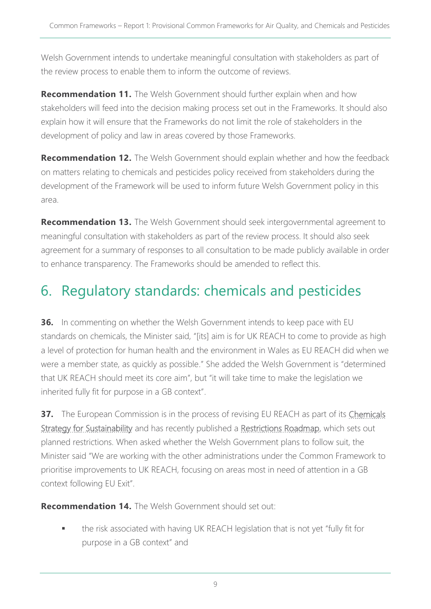Welsh Government intends to undertake meaningful consultation with stakeholders as part of the review process to enable them to inform the outcome of reviews.

**Recommendation 11.** The Welsh Government should further explain when and how stakeholders will feed into the decision making process set out in the Frameworks. It should also explain how it will ensure that the Frameworks do not limit the role of stakeholders in the development of policy and law in areas covered by those Frameworks.

**Recommendation 12.** The Welsh Government should explain whether and how the feedback on matters relating to chemicals and pesticides policy received from stakeholders during the development of the Framework will be used to inform future Welsh Government policy in this area.

**Recommendation 13.** The Welsh Government should seek intergovernmental agreement to meaningful consultation with stakeholders as part of the review process. It should also seek agreement for a summary of responses to all consultation to be made publicly available in order to enhance transparency. The Frameworks should be amended to reflect this.

## 6. Regulatory standards: chemicals and pesticides

**36.** In commenting on whether the Welsh Government intends to keep pace with EU standards on chemicals, the Minister said, "[its] aim is for UK REACH to come to provide as high a level of protection for human health and the environment in Wales as EU REACH did when we were a member state, as quickly as possible." She added the Welsh Government is "determined that UK REACH should meet its core aim", but "it will take time to make the legislation we inherited fully fit for purpose in a GB context".

**37.** The European Commission is in the process of revising EU REACH as part of its *Chemicals* [Strategy for Sustainability](https://ec.europa.eu/environment/strategy/chemicals-strategy_en) and has recently published a [Restrictions Roadmap,](https://ec.europa.eu/docsroom/documents/49734) which sets out planned restrictions. When asked whether the Welsh Government plans to follow suit, the Minister said "We are working with the other administrations under the Common Framework to prioritise improvements to UK REACH, focusing on areas most in need of attention in a GB context following EU Exit".

**Recommendation 14.** The Welsh Government should set out:

the risk associated with having UK REACH legislation that is not yet "fully fit for purpose in a GB context" and